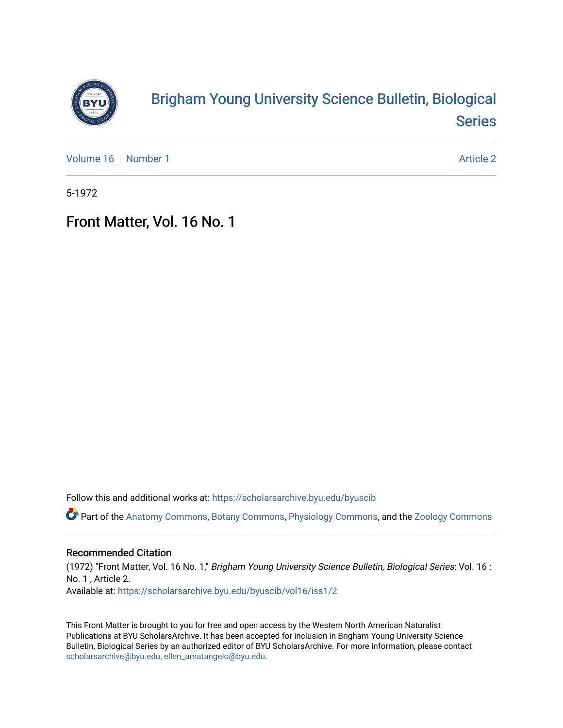

## [Brigham Young University Science Bulletin, Biological](https://scholarsarchive.byu.edu/byuscib)  [Series](https://scholarsarchive.byu.edu/byuscib)

[Volume 16](https://scholarsarchive.byu.edu/byuscib/vol16) [Number 1](https://scholarsarchive.byu.edu/byuscib/vol16/iss1) Article 2

5-1972

## Front Matter, Vol. 16 No. 1

Follow this and additional works at: [https://scholarsarchive.byu.edu/byuscib](https://scholarsarchive.byu.edu/byuscib?utm_source=scholarsarchive.byu.edu%2Fbyuscib%2Fvol16%2Fiss1%2F2&utm_medium=PDF&utm_campaign=PDFCoverPages)

Part of the [Anatomy Commons,](http://network.bepress.com/hgg/discipline/903?utm_source=scholarsarchive.byu.edu%2Fbyuscib%2Fvol16%2Fiss1%2F2&utm_medium=PDF&utm_campaign=PDFCoverPages) [Botany Commons,](http://network.bepress.com/hgg/discipline/104?utm_source=scholarsarchive.byu.edu%2Fbyuscib%2Fvol16%2Fiss1%2F2&utm_medium=PDF&utm_campaign=PDFCoverPages) [Physiology Commons,](http://network.bepress.com/hgg/discipline/69?utm_source=scholarsarchive.byu.edu%2Fbyuscib%2Fvol16%2Fiss1%2F2&utm_medium=PDF&utm_campaign=PDFCoverPages) and the [Zoology Commons](http://network.bepress.com/hgg/discipline/81?utm_source=scholarsarchive.byu.edu%2Fbyuscib%2Fvol16%2Fiss1%2F2&utm_medium=PDF&utm_campaign=PDFCoverPages)

### Recommended Citation

(1972) "Front Matter, Vol. 16 No. 1," Brigham Young University Science Bulletin, Biological Series: Vol. 16 : No. 1 , Article 2. Available at: [https://scholarsarchive.byu.edu/byuscib/vol16/iss1/2](https://scholarsarchive.byu.edu/byuscib/vol16/iss1/2?utm_source=scholarsarchive.byu.edu%2Fbyuscib%2Fvol16%2Fiss1%2F2&utm_medium=PDF&utm_campaign=PDFCoverPages) 

This Front Matter is brought to you for free and open access by the Western North American Naturalist Publications at BYU ScholarsArchive. It has been accepted for inclusion in Brigham Young University Science Bulletin, Biological Series by an authorized editor of BYU ScholarsArchive. For more information, please contact [scholarsarchive@byu.edu, ellen\\_amatangelo@byu.edu](mailto:scholarsarchive@byu.edu,%20ellen_amatangelo@byu.edu).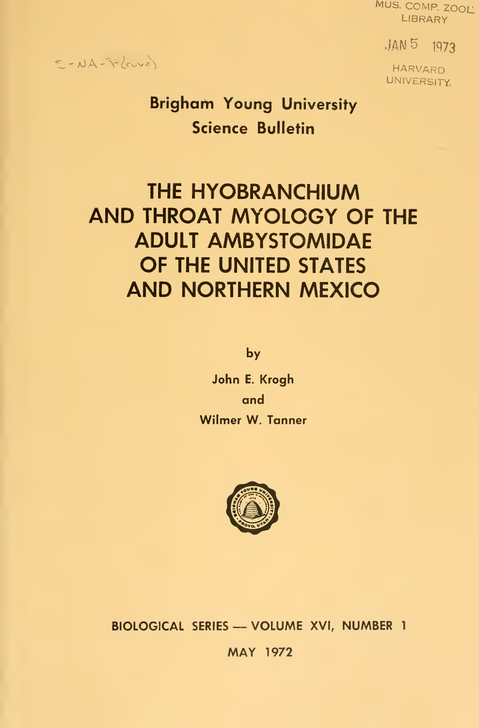MUS. COMP. ZOOL: **LIBRARY** 

 $JAN<sub>5</sub>$  1973

HARVARD **UNIVERSITY** 

## $S - NA - \frac{1}{2}k\omega$

Brigham Young University Science Bulletin

# THE HYOBRANCHIUM AND THROAT MYOLOGY OF THE ADULT AMBYSTOMIDAE OF THE UNITED STATES AND NORTHERN MEXICO

by

John E. Krogh and Wllmer W. Tanner



BIOLOGICAL SERIES — VOLUME XVI, NUMBER <sup>1</sup>

MAY 1972